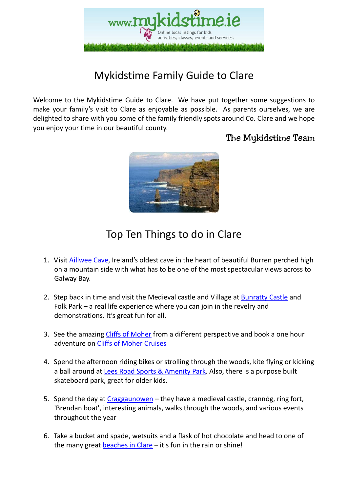

# Mykidstime Family Guide to Clare

Welcome to the Mykidstime Guide to Clare. We have put together some suggestions to make your family's visit to Clare as enjoyable as possible. As parents ourselves, we are delighted to share with you some of the family friendly spots around Co. Clare and we hope you enjoy your time in our beautiful county.

### The Mykidstime Team



# Top Ten Things to do in Clare

- 1. Visit Aillwee Cave, Ireland's oldest cave in the heart of beautiful Burren perched high on a mountain side with what has to be one of the most spectacular views across to Galway Bay.
- 2. Step back in time and visit the Medieval castle and Village at Bunratty Castle and Folk Park – a real life experience where you can join in the revelry and demonstrations. It's great fun for all.
- 3. See the amazing Cliffs of Moher from a different perspective and book a one hour adventure on Cliffs of Moher Cruises
- 4. Spend the afternoon riding bikes or strolling through the woods, kite flying or kicking a ball around at Lees Road Sports & Amenity Park. Also, there is a purpose built skateboard park, great for older kids.
- 5. Spend the day at Craggaunowen they have a medieval castle, crannóg, ring fort, 'Brendan boat', interesting animals, walks through the woods, and various events throughout the year
- 6. Take a bucket and spade, wetsuits and a flask of hot chocolate and head to one of the many great beaches in Clare – it's fun in the rain or shine!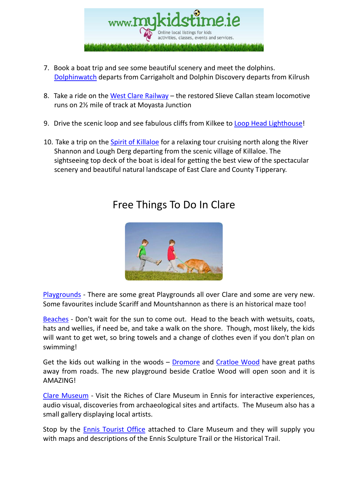

- 7. Book a boat trip and see some beautiful scenery and meet the dolphins. Dolphinwatch departs from Carrigaholt and Dolphin Discovery departs from Kilrush
- 8. Take a ride on the West Clare Railway the restored Slieve Callan steam locomotive runs on 2½ mile of track at Moyasta Junction
- 9. Drive the scenic loop and see fabulous cliffs from Kilkee to Loop Head Lighthouse!
- 10. Take a trip on the Spirit of Killaloe for a relaxing tour cruising north along the River Shannon and Lough Derg departing from the scenic village of Killaloe. The sightseeing top deck of the boat is ideal for getting the best view of the spectacular scenery and beautiful natural landscape of East Clare and County Tipperary.

### Free Things To Do In Clare



Playgrounds - There are some great Playgrounds all over Clare and some are very new. Some favourites include Scariff and Mountshannon as there is an historical maze too!

Beaches - Don't wait for the sun to come out. Head to the beach with wetsuits, coats, hats and wellies, if need be, and take a walk on the shore. Though, most likely, the kids will want to get wet, so bring towels and a change of clothes even if you don't plan on swimming!

Get the kids out walking in the woods – Dromore and Cratloe Wood have great paths away from roads. The new playground beside Cratloe Wood will open soon and it is AMAZING!

Clare Museum - Visit the Riches of Clare Museum in Ennis for interactive experiences, audio visual, discoveries from archaeological sites and artifacts. The Museum also has a small gallery displaying local artists.

Stop by the Ennis Tourist Office attached to Clare Museum and they will supply you with maps and descriptions of the Ennis Sculpture Trail or the Historical Trail.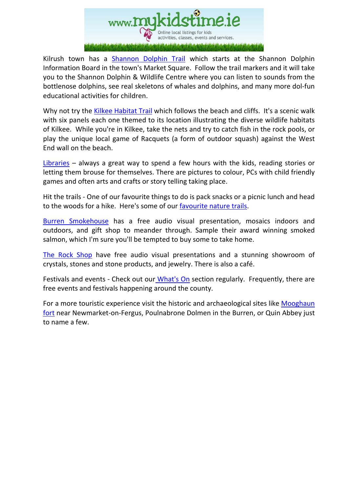

Kilrush town has a **Shannon Dolphin Trail** which starts at the Shannon Dolphin Information Board in the town's Market Square. Follow the trail markers and it will take you to the Shannon Dolphin & Wildlife Centre where you can listen to sounds from the bottlenose dolphins, see real skeletons of whales and dolphins, and many more dol-fun educational activities for children.

Why not try the Kilkee Habitat Trail which follows the beach and cliffs. It's a scenic walk with six panels each one themed to its location illustrating the diverse wildlife habitats of Kilkee. While you're in Kilkee, take the nets and try to catch fish in the rock pools, or play the unique local game of Racquets (a form of outdoor squash) against the West End wall on the beach.

Libraries – always a great way to spend a few hours with the kids, reading stories or letting them brouse for themselves. There are pictures to colour, PCs with child friendly games and often arts and crafts or story telling taking place.

Hit the trails - One of our favourite things to do is pack snacks or a picnic lunch and head to the woods for a hike. Here's some of our favourite nature trails.

Burren Smokehouse has a free audio visual presentation, mosaics indoors and outdoors, and gift shop to meander through. Sample their award winning smoked salmon, which I'm sure you'll be tempted to buy some to take home.

The Rock Shop have free audio visual presentations and a stunning showroom of crystals, stones and stone products, and jewelry. There is also a café.

Festivals and events - Check out our What's On section regularly. Frequently, there are free events and festivals happening around the county.

For a more touristic experience visit the historic and archaeological sites like Mooghaun fort near Newmarket-on-Fergus, Poulnabrone Dolmen in the Burren, or Quin Abbey just to name a few.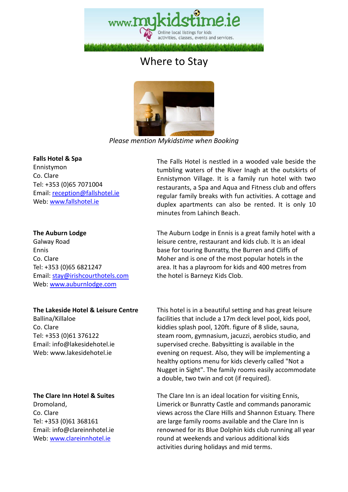

# Where to Stay



*Please mention Mykidstime when Booking* 

#### **Falls Hotel & Spa**

Ennistymon Co. Clare Tel: +353 (0)65 7071004 Email: reception@fallshotel.ie Web: www.fallshotel.ie

#### **The Auburn Lodge**

Galway Road Ennis Co. Clare Tel: +353 (0)65 6821247 Email: stay@irishcourthotels.com Web: www.auburnlodge.com

### **The Lakeside Hotel & Leisure Centre**

Ballina/Killaloe Co. Clare Tel: +353 (0)61 376122 Email: info@lakesidehotel.ie Web: www.lakesidehotel.ie

#### **The Clare Inn Hotel & Suites**

Dromoland, Co. Clare Tel: +353 (0)61 368161 Email: info@clareinnhotel.ie Web: www.clareinnhotel.ie

The Falls Hotel is nestled in a wooded vale beside the tumbling waters of the River Inagh at the outskirts of Ennistymon Village. It is a family run hotel with two restaurants, a Spa and Aqua and Fitness club and offers regular family breaks with fun activities. A cottage and duplex apartments can also be rented. It is only 10 minutes from Lahinch Beach.

 The Auburn Lodge in Ennis is a great family hotel with a leisure centre, restaurant and kids club. It is an ideal base for touring Bunratty, the Burren and Cliffs of Moher and is one of the most popular hotels in the area. It has a playroom for kids and 400 metres from the hotel is Barneyz Kids Clob.

 This hotel is in a beautiful setting and has great leisure facilities that include a 17m deck level pool, kids pool, kiddies splash pool, 120ft. figure of 8 slide, sauna, steam room, gymnasium, jacuzzi, aerobics studio, and supervised creche. Babysitting is available in the evening on request. Also, they will be implementing a healthy options menu for kids cleverly called "Not a Nugget in Sight". The family rooms easily accommodate a double, two twin and cot (if required).

 The Clare Inn is an ideal location for visiting Ennis, Limerick or Bunratty Castle and commands panoramic views across the Clare Hills and Shannon Estuary. There are large family rooms available and the Clare Inn is renowned for its Blue Dolphin kids club running all year round at weekends and various additional kids activities during holidays and mid terms.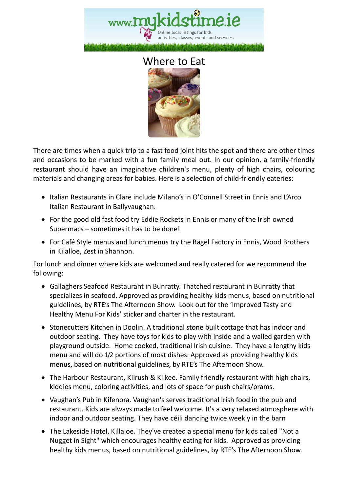

### Where to Eat



There are times when a quick trip to a fast food joint hits the spot and there are other times and occasions to be marked with a fun family meal out. In our opinion, a family-friendly restaurant should have an imaginative children's menu, plenty of high chairs, colouring materials and changing areas for babies. Here is a selection of child-friendly eateries:

- Italian Restaurants in Clare include Milano's in O'Connell Street in Ennis and L'Arco Italian Restaurant in Ballyvaughan.
- For the good old fast food try Eddie Rockets in Ennis or many of the Irish owned Supermacs – sometimes it has to be done!
- For Café Style menus and lunch menus try the Bagel Factory in Ennis, Wood Brothers in Kilalloe, Zest in Shannon.

For lunch and dinner where kids are welcomed and really catered for we recommend the following:

- Gallaghers Seafood Restaurant in Bunratty. Thatched restaurant in Bunratty that specializes in seafood. Approved as providing healthy kids menus, based on nutritional guidelines, by RTE's The Afternoon Show. Look out for the 'Improved Tasty and Healthy Menu For Kids' sticker and charter in the restaurant.
- Stonecutters Kitchen in Doolin. A traditional stone built cottage that has indoor and outdoor seating. They have toys for kids to play with inside and a walled garden with playground outside. Home cooked, traditional Irish cuisine. They have a lengthy kids menu and will do 1/2 portions of most dishes. Approved as providing healthy kids menus, based on nutritional guidelines, by RTE's The Afternoon Show.
- The Harbour Restaurant, Kilrush & Kilkee. Family friendly restaurant with high chairs, kiddies menu, coloring activities, and lots of space for push chairs/prams.
- Vaughan's Pub in Kifenora. Vaughan's serves traditional Irish food in the pub and restaurant. Kids are always made to feel welcome. It's a very relaxed atmosphere with indoor and outdoor seating. They have céili dancing twice weekly in the barn
- The Lakeside Hotel, Killaloe. They've created a special menu for kids called "Not a Nugget in Sight" which encourages healthy eating for kids. Approved as providing healthy kids menus, based on nutritional guidelines, by RTE's The Afternoon Show.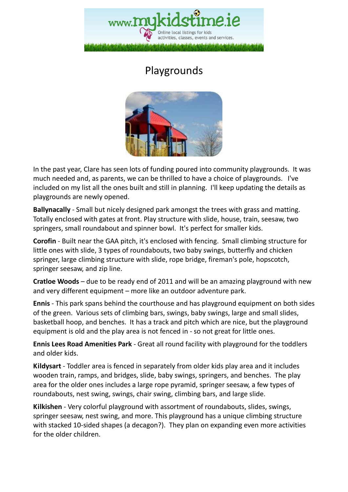

# Playgrounds



In the past year, Clare has seen lots of funding poured into community playgrounds. It was much needed and, as parents, we can be thrilled to have a choice of playgrounds. I've included on my list all the ones built and still in planning. I'll keep updating the details as playgrounds are newly opened.

**Ballynacally** - Small but nicely designed park amongst the trees with grass and matting. Totally enclosed with gates at front. Play structure with slide, house, train, seesaw, two springers, small roundabout and spinner bowl. It's perfect for smaller kids.

**Corofin** - Built near the GAA pitch, it's enclosed with fencing. Small climbing structure for little ones with slide, 3 types of roundabouts, two baby swings, butterfly and chicken springer, large climbing structure with slide, rope bridge, fireman's pole, hopscotch, springer seesaw, and zip line.

**Cratloe Woods** – due to be ready end of 2011 and will be an amazing playground with new and very different equipment – more like an outdoor adventure park.

**Ennis** - This park spans behind the courthouse and has playground equipment on both sides of the green. Various sets of climbing bars, swings, baby swings, large and small slides, basketball hoop, and benches. It has a track and pitch which are nice, but the playground equipment is old and the play area is not fenced in - so not great for little ones.

**Ennis Lees Road Amenities Park** - Great all round facility with playground for the toddlers and older kids.

**Kildysart** - Toddler area is fenced in separately from older kids play area and it includes wooden train, ramps, and bridges, slide, baby swings, springers, and benches. The play area for the older ones includes a large rope pyramid, springer seesaw, a few types of roundabouts, nest swing, swings, chair swing, climbing bars, and large slide.

**Kilkishen** - Very colorful playground with assortment of roundabouts, slides, swings, springer seesaw, nest swing, and more. This playground has a unique climbing structure with stacked 10-sided shapes (a decagon?). They plan on expanding even more activities for the older children.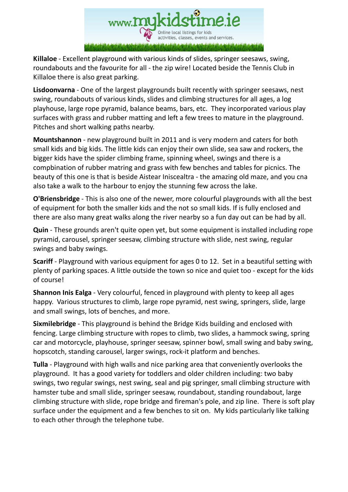

**Killaloe** - Excellent playground with various kinds of slides, springer seesaws, swing, roundabouts and the favourite for all - the zip wire! Located beside the Tennis Club in Killaloe there is also great parking.

**Lisdoonvarna** - One of the largest playgrounds built recently with springer seesaws, nest swing, roundabouts of various kinds, slides and climbing structures for all ages, a log playhouse, large rope pyramid, balance beams, bars, etc. They incorporated various play surfaces with grass and rubber matting and left a few trees to mature in the playground. Pitches and short walking paths nearby.

**Mountshannon** - new playground built in 2011 and is very modern and caters for both small kids and big kids. The little kids can enjoy their own slide, sea saw and rockers, the bigger kids have the spider climbing frame, spinning wheel, swings and there is a compbination of rubber matring and grass with few benches and tables for picnics. The beauty of this one is that is beside Aistear Iniscealtra - the amazing old maze, and you cna also take a walk to the harbour to enjoy the stunning few across the lake.

**O'Briensbridge** - This is also one of the newer, more colourful playgrounds with all the best of equipment for both the smaller kids and the not so small kids. If is fully enclosed and there are also many great walks along the river nearby so a fun day out can be had by all.

**Quin** - These grounds aren't quite open yet, but some equipment is installed including rope pyramid, carousel, springer seesaw, climbing structure with slide, nest swing, regular swings and baby swings.

**Scariff** - Playground with various equipment for ages 0 to 12. Set in a beautiful setting with plenty of parking spaces. A little outside the town so nice and quiet too - except for the kids of course!

**Shannon Inis Ealga** - Very colourful, fenced in playground with plenty to keep all ages happy. Various structures to climb, large rope pyramid, nest swing, springers, slide, large and small swings, lots of benches, and more.

**Sixmilebridge** - This playground is behind the Bridge Kids building and enclosed with fencing. Large climbing structure with ropes to climb, two slides, a hammock swing, spring car and motorcycle, playhouse, springer seesaw, spinner bowl, small swing and baby swing, hopscotch, standing carousel, larger swings, rock-it platform and benches.

**Tulla** - Playground with high walls and nice parking area that conveniently overlooks the playground. It has a good variety for toddlers and older children including: two baby swings, two regular swings, nest swing, seal and pig springer, small climbing structure with hamster tube and small slide, springer seesaw, roundabout, standing roundabout, large climbing structure with slide, rope bridge and fireman's pole, and zip line. There is soft play surface under the equipment and a few benches to sit on. My kids particularly like talking to each other through the telephone tube.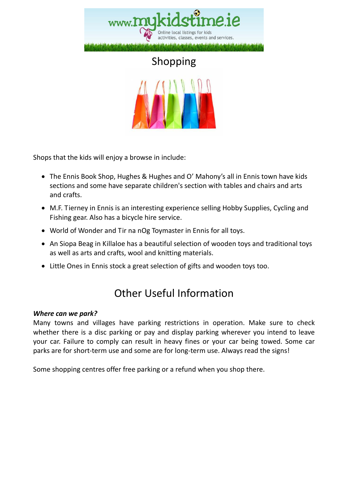



Shops that the kids will enjoy a browse in include:

- The Ennis Book Shop, Hughes & Hughes and O' Mahony's all in Ennis town have kids sections and some have separate children's section with tables and chairs and arts and crafts.
- M.F. Tierney in Ennis is an interesting experience selling Hobby Supplies, Cycling and Fishing gear. Also has a bicycle hire service.
- World of Wonder and Tir na nOg Toymaster in Ennis for all toys.
- An Siopa Beag in Killaloe has a beautiful selection of wooden toys and traditional toys as well as arts and crafts, wool and knitting materials.
- Little Ones in Ennis stock a great selection of gifts and wooden toys too.

## Other Useful Information

### *Where can we park?*

Many towns and villages have parking restrictions in operation. Make sure to check whether there is a disc parking or pay and display parking wherever you intend to leave your car. Failure to comply can result in heavy fines or your car being towed. Some car parks are for short-term use and some are for long-term use. Always read the signs!

Some shopping centres offer free parking or a refund when you shop there.